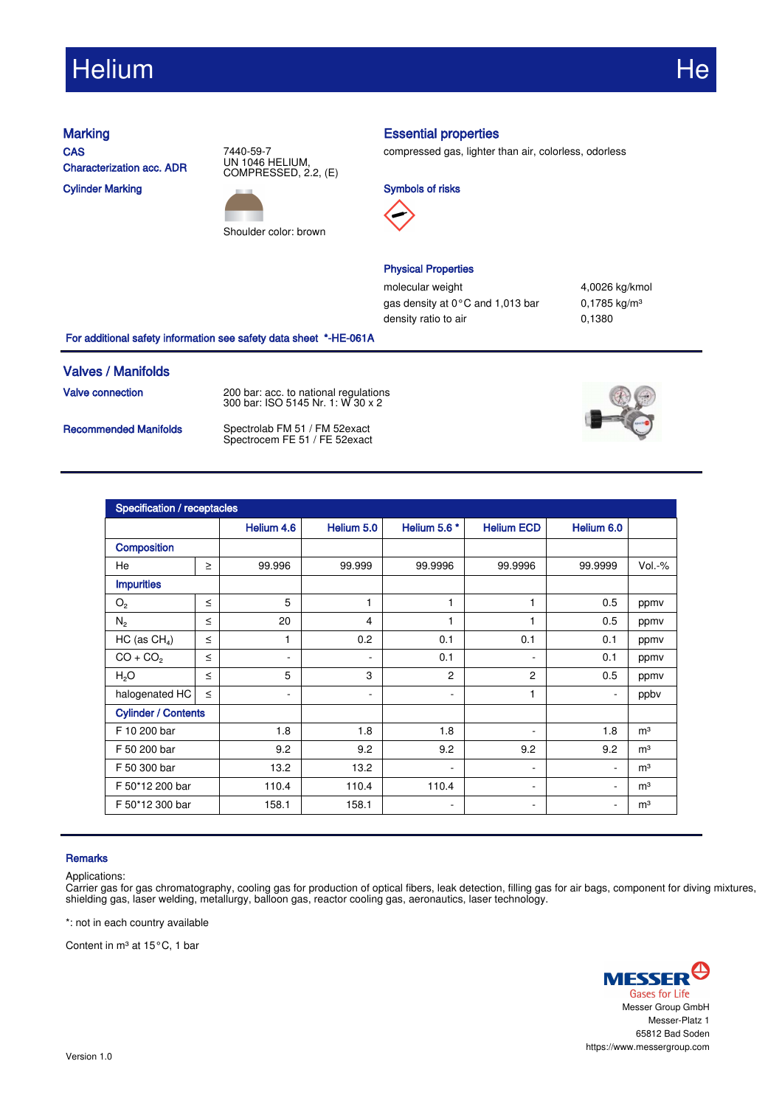# Helium He

**CAS** Characterization acc. ADR Cylinder Marking

7440-59-7 UN 1046 HELIUM, COMPRESSED, 2.2, (E)



## Marking **Essential properties**

compressed gas, lighter than air, colorless, odorless





## Physical Properties

molecular weight 4,0026 kg/kmol gas density at 0°C and 1,013 bar 0,1785 kg/m<sup>3</sup> density ratio to air 0,1380

For additional safety information see safety data sheet \*-HE-061A

### Valves / Manifolds

**Valve connection** 200 bar: acc. to national regulations 300 bar: ISO 5145 Nr. 1: W 30 x 2

Recommended Manifolds Spectrolab FM 51 / FM 52exact Spectrocem FE 51 / FE 52exact



| Specification / receptacles |        |            |            |                          |                          |                          |                |  |  |
|-----------------------------|--------|------------|------------|--------------------------|--------------------------|--------------------------|----------------|--|--|
|                             |        | Helium 4.6 | Helium 5.0 | Helium 5.6 *             | <b>Helium ECD</b>        | Helium 6.0               |                |  |  |
| <b>Composition</b>          |        |            |            |                          |                          |                          |                |  |  |
| He                          | $\geq$ | 99.996     | 99.999     | 99.9996                  | 99.9996                  | 99.9999                  | $Vol.-%$       |  |  |
| <b>Impurities</b>           |        |            |            |                          |                          |                          |                |  |  |
| $\mathrm{O}_2$              | $\leq$ | 5          | 1          | 1                        | $\mathbf{1}$             | 0.5                      | ppmy           |  |  |
| $N_2$                       | $\leq$ | 20         | 4          | 1                        | 1                        | 0.5                      | ppmv           |  |  |
| HC (as $CH4$ )              | $\leq$ | 1          | 0.2        | 0.1                      | 0.1                      | 0.1                      | ppmv           |  |  |
| $CO + CO2$                  | $\leq$ | ۰          |            | 0.1                      | $\overline{\phantom{0}}$ | 0.1                      | ppmv           |  |  |
| H <sub>2</sub> O            | $\leq$ | 5          | 3          | 2                        | 2                        | 0.5                      | ppmv           |  |  |
| halogenated HC              | $\leq$ | ٠          | -          | ٠                        | $\mathbf{1}$             | $\overline{\phantom{a}}$ | ppby           |  |  |
| <b>Cylinder / Contents</b>  |        |            |            |                          |                          |                          |                |  |  |
| F 10 200 bar                |        | 1.8        | 1.8        | 1.8                      | ۰                        | 1.8                      | m <sup>3</sup> |  |  |
| F 50 200 bar                |        | 9.2        | 9.2        | 9.2                      | 9.2                      | 9.2                      | m <sup>3</sup> |  |  |
| F 50 300 bar                |        | 13.2       | 13.2       | ٠                        | ۰.                       | $\sim$                   | m <sup>3</sup> |  |  |
| F 50*12 200 bar             |        | 110.4      | 110.4      | 110.4                    | ٠.                       | $\overline{\phantom{a}}$ | m <sup>3</sup> |  |  |
| F 50*12 300 bar             |        | 158.1      | 158.1      | $\overline{\phantom{a}}$ | $\sim$                   | $\overline{\phantom{a}}$ | m <sup>3</sup> |  |  |

### **Remarks**

Applications:

Carrier gas for gas chromatography, cooling gas for production of optical fibers, leak detection, filling gas for air bags, component for diving mixtures, shielding gas, laser welding, metallurgy, balloon gas, reactor cooling gas, aeronautics, laser technology.

\*: not in each country available

Content in m<sup>3</sup> at 15°C, 1 bar